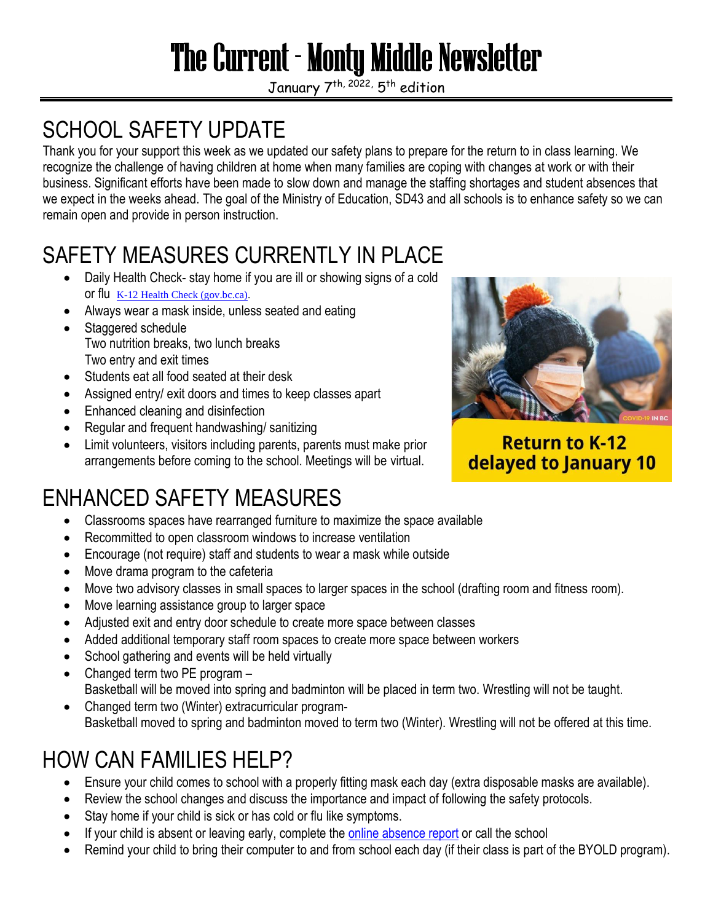# The Current - Monty Middle Newsletter

January 7<sup>th, 2022,</sup> 5<sup>th</sup> edition

## SCHOOL SAFETY UPDATE

Thank you for your support this week as we updated our safety plans to prepare for the return to in class learning. We recognize the challenge of having children at home when many families are coping with changes at work or with their business. Significant efforts have been made to slow down and manage the staffing shortages and student absences that we expect in the weeks ahead. The goal of the Ministry of Education, SD43 and all schools is to enhance safety so we can remain open and provide in person instruction.

## SAFETY MEASURES CURRENTLY IN PLACE

- Daily Health Check- stay home if you are ill or showing signs of a cold or flu [K-12 Health Check \(gov.bc.ca\).](https://www.k12dailycheck.gov.bc.ca/healthcheck?execution=e1s1)
- Always wear a mask inside, unless seated and eating
- Staggered schedule Two nutrition breaks, two lunch breaks Two entry and exit times
- Students eat all food seated at their desk
- Assigned entry/ exit doors and times to keep classes apart
- Enhanced cleaning and disinfection
- Regular and frequent handwashing/ sanitizing
- Limit volunteers, visitors including parents, parents must make prior arrangements before coming to the school. Meetings will be virtual.



**Return to K-12** delayed to January 10

## ENHANCED SAFETY MEASURES

- Classrooms spaces have rearranged furniture to maximize the space available
- Recommitted to open classroom windows to increase ventilation
- Encourage (not require) staff and students to wear a mask while outside
- Move drama program to the cafeteria
- Move two advisory classes in small spaces to larger spaces in the school (drafting room and fitness room).
- Move learning assistance group to larger space
- Adjusted exit and entry door schedule to create more space between classes
- Added additional temporary staff room spaces to create more space between workers
- School gathering and events will be held virtually
- Changed term two PE program -Basketball will be moved into spring and badminton will be placed in term two. Wrestling will not be taught.
- Changed term two (Winter) extracurricular program-Basketball moved to spring and badminton moved to term two (Winter). Wrestling will not be offered at this time.

## HOW CAN FAMILIES HELP?

- Ensure your child comes to school with a properly fitting mask each day (extra disposable masks are available).
- Review the school changes and discuss the importance and impact of following the safety protocols.
- Stay home if your child is sick or has cold or flu like symptoms.
- If your child is absent or leaving early, complete the [online absence report](https://www2016.sd43.bc.ca/eforms/_layouts/15/FormServer.aspx?XsnLocation=https://www2016.sd43.bc.ca/eforms/AbsenceReportForm/Forms/template.xsn&SaveLocation=https%3A%2F%2Fwww2016%2Esd43%2Ebc%2Eca%2Feforms%2FAbsenceReportForm&ClientInstalled=true&DefaultItemOpen=1&Source=https%3A%2F%2Fwww2016%2Esd43%2Ebc%2Eca%2Feforms%2FAbsenceReportForm%2FForms%2FAllItems%2Easpx%3FPageView%3DShared%26InitialTabId%3DRibbon%2EWebPartPage%26VisibilityContext%3DWSSWebPartPage) or call the school
- Remind your child to bring their computer to and from school each day (if their class is part of the BYOLD program).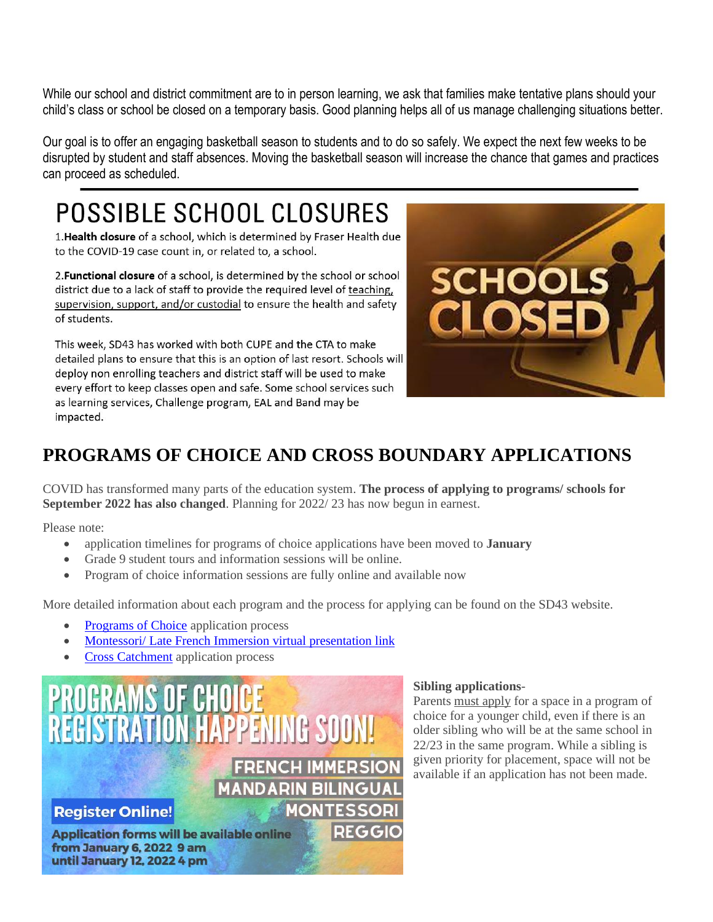While our school and district commitment are to in person learning, we ask that families make tentative plans should your child's class or school be closed on a temporary basis. Good planning helps all of us manage challenging situations better.

Our goal is to offer an engaging basketball season to students and to do so safely. We expect the next few weeks to be disrupted by student and staff absences. Moving the basketball season will increase the chance that games and practices can proceed as scheduled.

## **POSSIBLE SCHOOL CLOSURES**

1. Health closure of a school, which is determined by Fraser Health due to the COVID-19 case count in, or related to, a school.

2. Functional closure of a school, is determined by the school or school district due to a lack of staff to provide the required level of teaching, supervision, support, and/or custodial to ensure the health and safety of students.

This week, SD43 has worked with both CUPE and the CTA to make detailed plans to ensure that this is an option of last resort. Schools will deploy non enrolling teachers and district staff will be used to make every effort to keep classes open and safe. Some school services such as learning services, Challenge program, EAL and Band may be impacted.



## **PROGRAMS OF CHOICE AND CROSS BOUNDARY APPLICATIONS**

COVID has transformed many parts of the education system. **The process of applying to programs/ schools for September 2022 has also changed**. Planning for 2022/ 23 has now begun in earnest.

Please note:

- application timelines for programs of choice applications have been moved to **January**
- Grade 9 student tours and information sessions will be online.
- Program of choice information sessions are fully online and available now

More detailed information about each program and the process for applying can be found on the SD43 website.

- [Programs of Choice](https://www.sd43.bc.ca/Programs/Pages/default.aspx#/=) application process
- [Montessori/ Late French Immersion virtual presentation](http://www.sd43.bc.ca/Programs/Montessori/Pages/default.aspx#/=) link
- [Cross Catchment](https://www.sd43.bc.ca/Schools/Pages/CrossCatchment.aspx#/=) application process



#### **Sibling applications**-

Parents must apply for a space in a program of choice for a younger child, even if there is an older sibling who will be at the same school in 22/23 in the same program. While a sibling is given priority for placement, space will not be available if an application has not been made.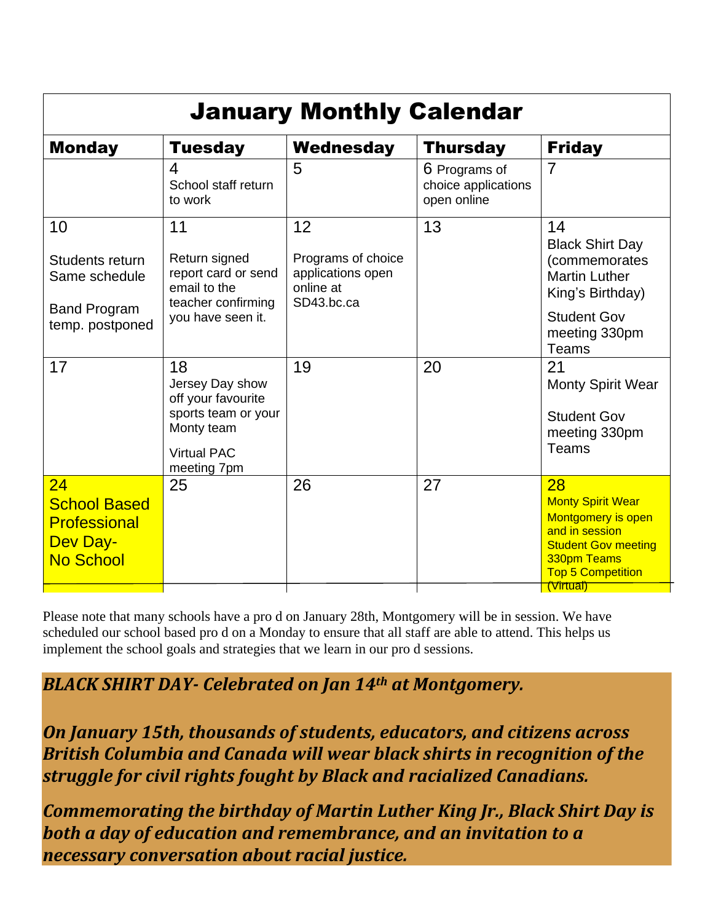| <b>January Monthly Calendar</b>                                                         |                                                                                                                       |                                                                          |                                                     |                                                                                                                                                              |
|-----------------------------------------------------------------------------------------|-----------------------------------------------------------------------------------------------------------------------|--------------------------------------------------------------------------|-----------------------------------------------------|--------------------------------------------------------------------------------------------------------------------------------------------------------------|
| <b>Monday</b>                                                                           | <b>Tuesday</b>                                                                                                        | Wednesday                                                                | <b>Thursday</b>                                     | <b>Friday</b>                                                                                                                                                |
|                                                                                         | 4<br>School staff return<br>to work                                                                                   | 5                                                                        | 6 Programs of<br>choice applications<br>open online | $\overline{7}$                                                                                                                                               |
| 10<br>Students return<br>Same schedule<br><b>Band Program</b><br>temp. postponed        | 11<br>Return signed<br>report card or send<br>email to the<br>teacher confirming<br>you have seen it.                 | 12<br>Programs of choice<br>applications open<br>online at<br>SD43.bc.ca | 13                                                  | 14<br><b>Black Shirt Day</b><br>(commemorates<br><b>Martin Luther</b><br>King's Birthday)<br><b>Student Gov</b><br>meeting 330pm<br><b>Teams</b>             |
| 17                                                                                      | 18<br>Jersey Day show<br>off your favourite<br>sports team or your<br>Monty team<br><b>Virtual PAC</b><br>meeting 7pm | 19                                                                       | 20                                                  | 21<br><b>Monty Spirit Wear</b><br><b>Student Gov</b><br>meeting 330pm<br>Teams                                                                               |
| 24<br><b>School Based</b><br><b>Professional</b><br><b>Dev Day-</b><br><b>No School</b> | 25                                                                                                                    | 26                                                                       | 27                                                  | 28<br><b>Monty Spirit Wear</b><br>Montgomery is open<br>and in session<br><b>Student Gov meeting</b><br>330pm Teams<br><b>Top 5 Competition</b><br>(Virtual) |

Please note that many schools have a pro d on January 28th, Montgomery will be in session. We have scheduled our school based pro d on a Monday to ensure that all staff are able to attend. This helps us implement the school goals and strategies that we learn in our pro d sessions.

*BLACK SHIRT DAY- Celebrated on Jan 14th at Montgomery.* 

*On January 15th, thousands of students, educators, and citizens across British Columbia and Canada will wear black shirts in recognition of the struggle for civil rights fought by Black and racialized Canadians.*

*Commemorating the birthday of Martin Luther King Jr., Black Shirt Day is both a day of education and remembrance, and an invitation to a necessary conversation about racial justice.*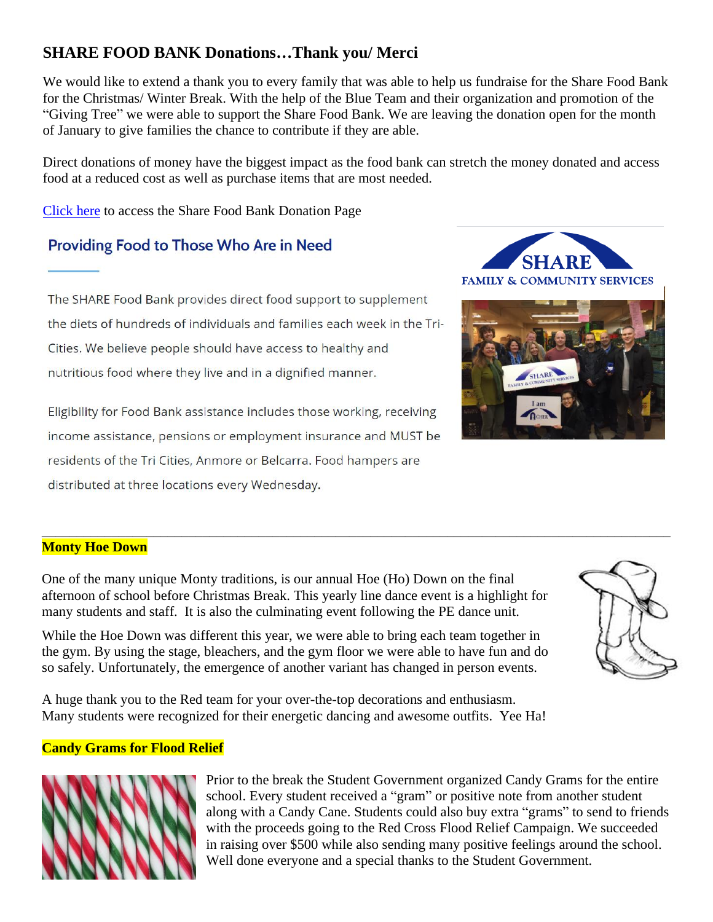### **SHARE FOOD BANK Donations…Thank you/ Merci**

We would like to extend a thank you to every family that was able to help us fundraise for the Share Food Bank for the Christmas/ Winter Break. With the help of the Blue Team and their organization and promotion of the "Giving Tree" we were able to support the Share Food Bank. We are leaving the donation open for the month of January to give families the chance to contribute if they are able.

Direct donations of money have the biggest impact as the food bank can stretch the money donated and access food at a reduced cost as well as purchase items that are most needed.

[Click here](https://sharesociety.ca/donate-to-share) to access the Share Food Bank Donation Page

### Providing Food to Those Who Are in Need

The SHARE Food Bank provides direct food support to supplement the diets of hundreds of individuals and families each week in the Tri-Cities. We believe people should have access to healthy and nutritious food where they live and in a dignified manner.

Eligibility for Food Bank assistance includes those working, receiving income assistance, pensions or employment insurance and MUST be residents of the Tri Cities, Anmore or Belcarra. Food hampers are distributed at three locations every Wednesday.

#### \_\_\_\_\_\_\_\_\_\_\_\_\_\_\_\_\_\_\_\_\_\_\_\_\_\_\_\_\_\_\_\_\_\_\_\_\_\_\_\_\_\_\_\_\_\_\_\_\_\_\_\_\_\_\_\_\_\_\_\_\_\_\_\_\_\_\_\_\_\_\_\_\_\_\_\_\_\_\_\_\_\_\_\_\_\_\_\_\_\_ **Monty Hoe Down**

One of the many unique Monty traditions, is our annual Hoe (Ho) Down on the final afternoon of school before Christmas Break. This yearly line dance event is a highlight for many students and staff. It is also the culminating event following the PE dance unit.

While the Hoe Down was different this year, we were able to bring each team together in the gym. By using the stage, bleachers, and the gym floor we were able to have fun and do so safely. Unfortunately, the emergence of another variant has changed in person events.

A huge thank you to the Red team for your over-the-top decorations and enthusiasm. Many students were recognized for their energetic dancing and awesome outfits. Yee Ha!

#### **Candy Grams for Flood Relief**



Prior to the break the Student Government organized Candy Grams for the entire school. Every student received a "gram" or positive note from another student along with a Candy Cane. Students could also buy extra "grams" to send to friends with the proceeds going to the Red Cross Flood Relief Campaign. We succeeded in raising over \$500 while also sending many positive feelings around the school. Well done everyone and a special thanks to the Student Government.





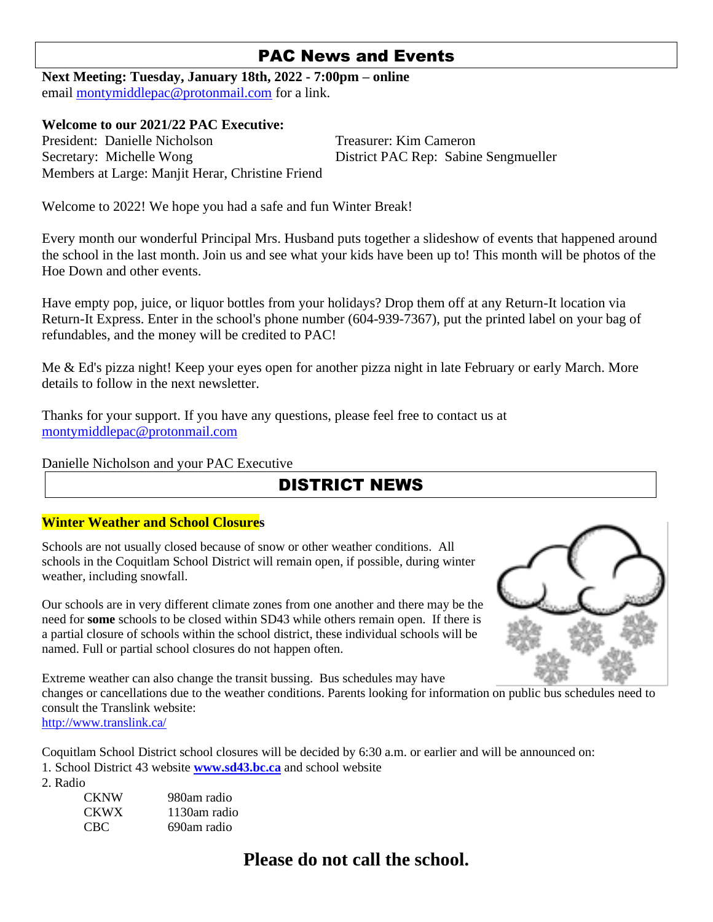### PAC News and Events

**Next Meeting: Tuesday, January 18th, 2022 - 7:00pm – online** email [montymiddlepac@protonmail.com](mailto:montymiddlepac@protonmail.com) for a link.

#### **Welcome to our 2021/22 PAC Executive:**

President: Danielle Nicholson Treasurer: Kim Cameron Secretary: Michelle Wong District PAC Rep: Sabine Sengmueller Members at Large: Manjit Herar, Christine Friend

Welcome to 2022! We hope you had a safe and fun Winter Break!

Every month our wonderful Principal Mrs. Husband puts together a slideshow of events that happened around the school in the last month. Join us and see what your kids have been up to! This month will be photos of the Hoe Down and other events.

Have empty pop, juice, or liquor bottles from your holidays? Drop them off at any Return-It location via Return-It Express. Enter in the school's phone number (604-939-7367), put the printed label on your bag of refundables, and the money will be credited to PAC!

Me & Ed's pizza night! Keep your eyes open for another pizza night in late February or early March. More details to follow in the next newsletter.

Thanks for your support. If you have any questions, please feel free to contact us at [montymiddlepac@protonmail.com](mailto:montymiddlepac@protonmail.com)

Danielle Nicholson and your PAC Executive

## DISTRICT NEWS

#### **Winter Weather and School Closures**

Schools are not usually closed because of snow or other weather conditions. All schools in the Coquitlam School District will remain open, if possible, during winter weather, including snowfall.

Our schools are in very different climate zones from one another and there may be the need for **some** schools to be closed within SD43 while others remain open. If there is a partial closure of schools within the school district, these individual schools will be named. Full or partial school closures do not happen often.



Extreme weather can also change the transit bussing. Bus schedules may have changes or cancellations due to the weather conditions. Parents looking for information on public bus schedules need to consult the Translink website: <http://www.translink.ca/>

Coquitlam School District school closures will be decided by 6:30 a.m. or earlier and will be announced on: 1. School District 43 website **[www.sd43.bc.ca](http://www.sd43.bc.ca/)** and school website

2. Radio

| CKNW | 980am radio  |
|------|--------------|
| CKWX | 1130am radio |
| CBC  | 690am radio  |

## **Please do not call the school.**